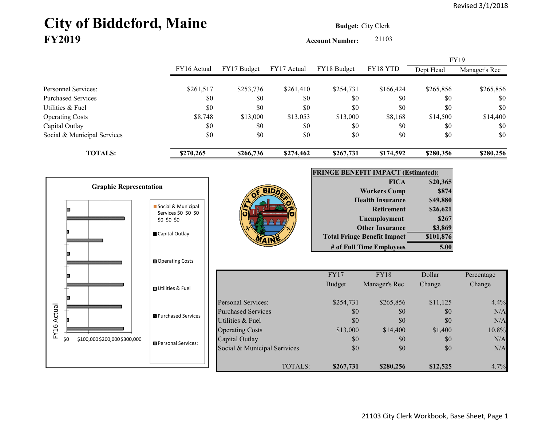# City of Biddeford, Maine **Budget: City Clerk FY2019**

**Account Number:** 21103

|                             |             |             |             |             |           |           | <b>FY19</b>   |
|-----------------------------|-------------|-------------|-------------|-------------|-----------|-----------|---------------|
|                             | FY16 Actual | FY17 Budget | FY17 Actual | FY18 Budget | FY18 YTD  | Dept Head | Manager's Rec |
|                             |             |             |             |             |           |           |               |
| Personnel Services:         | \$261,517   | \$253,736   | \$261,410   | \$254,731   | \$166,424 | \$265,856 | \$265,856     |
| <b>Purchased Services</b>   | \$0         | \$0         | \$0         | \$0         | \$0       | \$0       | \$0           |
| Utilities & Fuel            | \$0         | \$0         | \$0         | \$0         | \$0       | \$0       | \$0           |
| <b>Operating Costs</b>      | \$8,748     | \$13,000    | \$13,053    | \$13,000    | \$8,168   | \$14,500  | \$14,400      |
| Capital Outlay              | \$0         | \$0         | \$0         | \$0         | \$0       | \$0       | \$0           |
| Social & Municipal Services | \$0         | \$0         | \$0         | \$0         | \$0       | \$0       | \$0           |
| <b>TOTALS:</b>              | \$270,265   | \$266,736   | \$274,462   | \$267,731   | \$174,592 | \$280,356 | \$280,256     |





| <b>FRINGE BENEFIT IMPACT (Estimated):</b> |           |  |  |  |  |  |
|-------------------------------------------|-----------|--|--|--|--|--|
| <b>FICA</b>                               | \$20,365  |  |  |  |  |  |
| <b>Workers Comp</b>                       | \$874     |  |  |  |  |  |
| <b>Health Insurance</b>                   | \$49,880  |  |  |  |  |  |
| <b>Retirement</b>                         | \$26,621  |  |  |  |  |  |
| <b>Unemployment</b>                       | \$267     |  |  |  |  |  |
| <b>Other Insurance</b>                    | \$3,869   |  |  |  |  |  |
| <b>Total Fringe Benefit Impact</b>        | \$101,876 |  |  |  |  |  |
| # of Full Time Employees                  |           |  |  |  |  |  |

|                              | FY17          | <b>FY18</b>   | Dollar   | Percentage |
|------------------------------|---------------|---------------|----------|------------|
|                              | <b>Budget</b> | Manager's Rec | Change   | Change     |
| <b>Personal Services:</b>    | \$254,731     | \$265,856     | \$11,125 | 4.4%       |
| <b>Purchased Services</b>    | \$0           | \$0           | \$0      | N/A        |
| Utilities & Fuel             | \$0           | \$0           | \$0      | N/A        |
| <b>Operating Costs</b>       | \$13,000      | \$14,400      | \$1,400  | 10.8%      |
| Capital Outlay               | \$0           | \$0           | \$0      | N/A        |
| Social & Municipal Serivices | \$0           | \$0           | \$0      | N/A        |
| TOTALS:                      | \$267,731     | \$280,256     | \$12,525 | 4.7%       |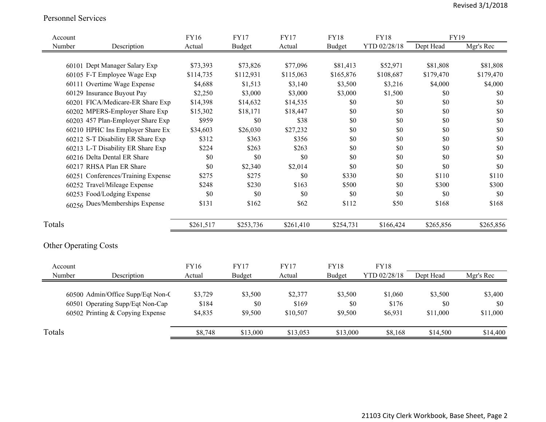#### Personnel Services

| Account                      |                                    | <b>FY16</b> | <b>FY17</b>   | <b>FY17</b> | <b>FY18</b>   | <b>FY18</b>  | FY19      |           |
|------------------------------|------------------------------------|-------------|---------------|-------------|---------------|--------------|-----------|-----------|
| Number                       | Description                        | Actual      | <b>Budget</b> | Actual      | <b>Budget</b> | YTD 02/28/18 | Dept Head | Mgr's Rec |
|                              |                                    |             |               |             |               |              |           |           |
|                              | 60101 Dept Manager Salary Exp      | \$73,393    | \$73,826      | \$77,096    | \$81,413      | \$52,971     | \$81,808  | \$81,808  |
|                              | 60105 F-T Employee Wage Exp        | \$114,735   | \$112,931     | \$115,063   | \$165,876     | \$108,687    | \$179,470 | \$179,470 |
|                              | 60111 Overtime Wage Expense        | \$4,688     | \$1,513       | \$3,140     | \$3,500       | \$3,216      | \$4,000   | \$4,000   |
|                              | 60129 Insurance Buyout Pay         | \$2,250     | \$3,000       | \$3,000     | \$3,000       | \$1,500      | $\$0$     | \$0       |
|                              | 60201 FICA/Medicare-ER Share Exp   | \$14,398    | \$14,632      | \$14,535    | \$0           | \$0          | \$0       | \$0       |
|                              | 60202 MPERS-Employer Share Exp     | \$15,302    | \$18,171      | \$18,447    | \$0           | \$0          | \$0       | \$0       |
|                              | 60203 457 Plan-Employer Share Exp  | \$959       | \$0           | \$38        | \$0           | \$0          | $\$0$     | \$0       |
|                              | 60210 HPHC Ins Employer Share Ex   | \$34,603    | \$26,030      | \$27,232    | \$0           | \$0          | \$0       | \$0       |
|                              | 60212 S-T Disability ER Share Exp  | \$312       | \$363         | \$356       | \$0           | \$0          | \$0       | \$0       |
|                              | 60213 L-T Disability ER Share Exp  | \$224       | \$263         | \$263       | \$0           | \$0          | \$0       | \$0       |
|                              | 60216 Delta Dental ER Share        | \$0         | \$0           | \$0         | \$0           | \$0          | \$0       | \$0       |
|                              | 60217 RHSA Plan ER Share           | \$0         | \$2,340       | \$2,014     | \$0           | \$0          | \$0       | \$0       |
|                              | 60251 Conferences/Training Expense | \$275       | \$275         | \$0         | \$330         | \$0          | \$110     | \$110     |
|                              | 60252 Travel/Mileage Expense       | \$248       | \$230         | \$163       | \$500         | \$0          | \$300     | \$300     |
|                              | 60253 Food/Lodging Expense         | \$0         | \$0           | \$0         | \$0           | \$0          | \$0       | \$0       |
|                              | 60256 Dues/Memberships Expense     | \$131       | \$162         | \$62        | \$112         | \$50         | \$168     | \$168     |
| Totals                       |                                    | \$261,517   | \$253,736     | \$261,410   | \$254,731     | \$166,424    | \$265,856 | \$265,856 |
|                              |                                    |             |               |             |               |              |           |           |
| <b>Other Operating Costs</b> |                                    |             |               |             |               |              |           |           |
| Account                      |                                    | <b>FY16</b> | <b>FY17</b>   | <b>FY17</b> | <b>FY18</b>   | <b>FY18</b>  |           |           |
| Number                       | Description                        | Actual      | <b>Budget</b> | Actual      | <b>Budget</b> | YTD 02/28/18 | Dept Head | Mgr's Rec |
|                              |                                    |             |               |             |               |              |           |           |
|                              | 60500 Admin/Office Supp/Eqt Non-C  | \$3,729     | \$3,500       | \$2,377     | \$3,500       | \$1,060      | \$3,500   | \$3,400   |
|                              | 60501 Operating Supp/Eqt Non-Cap   | \$184       | \$0           | \$169       | \$0           | \$176        | \$0       | \$0       |
|                              | 60502 Printing & Copying Expense   | \$4,835     | \$9,500       | \$10,507    | \$9,500       | \$6,931      | \$11,000  | \$11,000  |
| Totals                       |                                    | \$8,748     | \$13,000      | \$13,053    | \$13,000      | \$8,168      | \$14,500  | \$14,400  |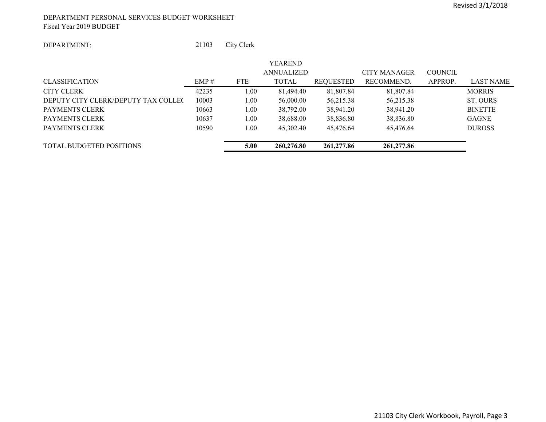#### DEPARTMENT PERSONAL SERVICES BUDGET WORKSHEET Fiscal Year 2019 BUDGET

#### DEPARTMENT:

21103 City Clerk

|                                              |            | <b>YEAREND</b> |                   |                     |                |                |
|----------------------------------------------|------------|----------------|-------------------|---------------------|----------------|----------------|
|                                              |            |                |                   | <b>CITY MANAGER</b> | <b>COUNCIL</b> |                |
| EMP#                                         | <b>FTE</b> | <b>TOTAL</b>   | REQUESTED         | RECOMMEND.          | APPROP.        | LAST NAME      |
| 42235                                        | 1.00       | 81,494.40      | 81,807.84         | 81,807.84           |                | <b>MORRIS</b>  |
| 10003<br>DEPUTY CITY CLERK/DEPUTY TAX COLLEC | 1.00       | 56,000.00      | 56,215.38         | 56,215.38           |                | ST. OURS       |
| 10663                                        | 1.00       | 38,792.00      | 38,941.20         | 38,941.20           |                | <b>BINETTE</b> |
| 10637                                        | 1.00       | 38,688.00      | 38,836.80         | 38,836.80           |                | <b>GAGNE</b>   |
| 10590                                        | 1.00       | 45,302.40      | 45,476.64         | 45.476.64           |                | <b>DUROSS</b>  |
|                                              |            |                |                   |                     |                |                |
|                                              | 5.00       | 260,276.80     | 261,277.86        | 261,277.86          |                |                |
|                                              |            |                | <b>ANNUALIZED</b> |                     |                |                |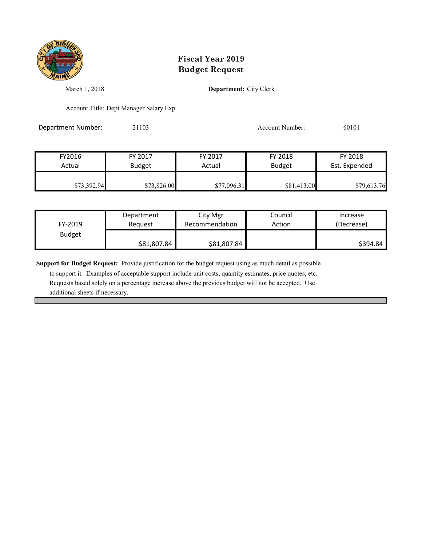

March 1, 2018 **Department:** City Clerk

Account Title: Dept Manager Salary Exp

Department Number: 21103 21103 Account Number: 60101

FY2016 FY 2017 FY 2017 FY 2018 FY 2018 Actual Budget | Actual Budget Est. Expended \$73,392.94 \$73,826.00 \$77,096.31 \$81,413.00 \$79,613.76

| FY-2019       | Department  | City Mgr       | Council | Increase   |
|---------------|-------------|----------------|---------|------------|
|               | Reauest     | Recommendation | Action  | (Decrease) |
| <b>Budget</b> | \$81,807.84 | \$81,807.84    |         | \$394.84   |

**Support for Budget Request:** Provide justification for the budget request using as much detail as possible

 to support it. Examples of acceptable support include unit costs, quantity estimates, price quotes, etc. Requests based solely on a percentage increase above the previous budget will not be accepted. Use additional sheets if necessary.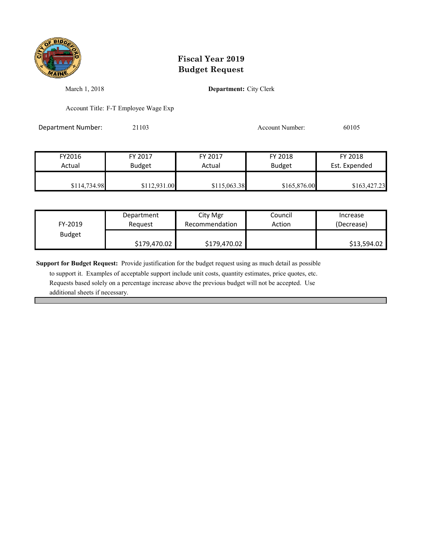

March 1, 2018 **Department:** City Clerk

Account Title: F-T Employee Wage Exp

Department Number: 21103 21103 Account Number: 60105

| FY2016       | FY 2017       | FY 2017      | FY 2018       | FY 2018       |
|--------------|---------------|--------------|---------------|---------------|
| Actual       | <b>Budget</b> | Actual       | <b>Budget</b> | Est. Expended |
|              |               |              |               |               |
| \$114,734.98 | \$112,931.00  | \$115,063.38 | \$165,876.00  | \$163,427.23  |

| FY-2019       | Department   | City Mgr       | Council | Increase    |
|---------------|--------------|----------------|---------|-------------|
|               | Reauest      | Recommendation | Action  | (Decrease)  |
| <b>Budget</b> | \$179,470.02 | \$179,470.02   |         | \$13,594.02 |

**Support for Budget Request:** Provide justification for the budget request using as much detail as possible

 to support it. Examples of acceptable support include unit costs, quantity estimates, price quotes, etc. Requests based solely on a percentage increase above the previous budget will not be accepted. Use additional sheets if necessary.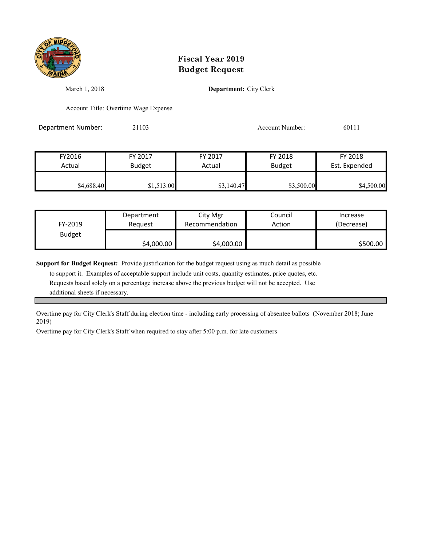

March 1, 2018 **Department:** City Clerk

Account Title: Overtime Wage Expense

Department Number: 21103 Account Number: 60111

| FY2016     | FY 2017       | FY 2017    | FY 2018       | FY 2018       |
|------------|---------------|------------|---------------|---------------|
| Actual     | <b>Budget</b> | Actual     | <b>Budget</b> | Est. Expended |
| \$4,688.40 | \$1,513.00    | \$3,140.47 | \$3,500.00    | \$4,500.00    |

| FY-2019       | Department | City Mgr       | Council | Increase   |
|---------------|------------|----------------|---------|------------|
|               | Reauest    | Recommendation | Action  | (Decrease) |
| <b>Budget</b> | \$4,000.00 | \$4,000.00     |         | \$500.00   |

**Support for Budget Request:** Provide justification for the budget request using as much detail as possible

 to support it. Examples of acceptable support include unit costs, quantity estimates, price quotes, etc. Requests based solely on a percentage increase above the previous budget will not be accepted. Use additional sheets if necessary.

Overtime pay for City Clerk's Staff during election time - including early processing of absentee ballots (November 2018; June 2019)

Overtime pay for City Clerk's Staff when required to stay after 5:00 p.m. for late customers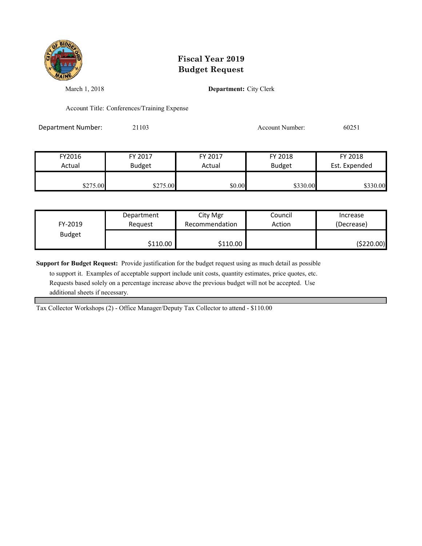

March 1, 2018 **Department:** City Clerk

Account Title: Conferences/Training Expense

Department Number: 21103 21103 Account Number: 60251

| FY2016   | FY 2017       | FY 2017 | FY 2018       | FY 2018       |
|----------|---------------|---------|---------------|---------------|
| Actual   | <b>Budget</b> | Actual  | <b>Budget</b> | Est. Expended |
| \$275.00 | \$275.00      | \$0.00  | \$330.00      | \$330.00      |

| FY-2019       | Department | City Mgr       | Council | Increase   |
|---------------|------------|----------------|---------|------------|
|               | Reauest    | Recommendation | Action  | (Decrease) |
| <b>Budget</b> | \$110.00   | \$110.00       |         | (\$220.00) |

**Support for Budget Request:** Provide justification for the budget request using as much detail as possible

 to support it. Examples of acceptable support include unit costs, quantity estimates, price quotes, etc. Requests based solely on a percentage increase above the previous budget will not be accepted. Use additional sheets if necessary.

Tax Collector Workshops (2) - Office Manager/Deputy Tax Collector to attend - \$110.00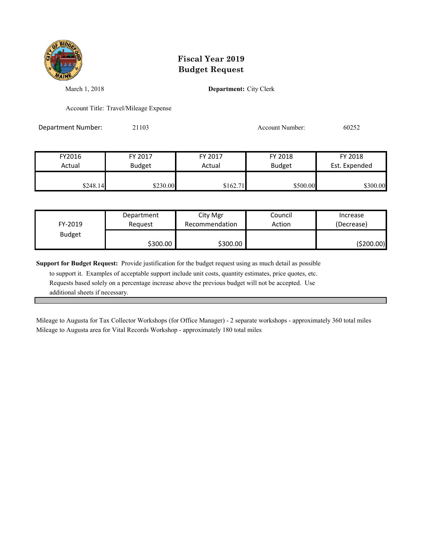

March 1, 2018 **Department:** City Clerk

Account Title: Travel/Mileage Expense

Department Number: 21103 Account Number: 60252

| FY2016   | FY 2017       | FY 2017  | FY 2018       | FY 2018       |
|----------|---------------|----------|---------------|---------------|
| Actual   | <b>Budget</b> | Actual   | <b>Budget</b> | Est. Expended |
| \$248.14 | \$230.00      | \$162.71 | \$500.00      | \$300.00      |

| FY-2019       | Department | City Mgr       | Council | Increase   |
|---------------|------------|----------------|---------|------------|
|               | Reauest    | Recommendation | Action  | (Decrease) |
| <b>Budget</b> | \$300.00   | \$300.00       |         | (\$200.00) |

**Support for Budget Request:** Provide justification for the budget request using as much detail as possible

 to support it. Examples of acceptable support include unit costs, quantity estimates, price quotes, etc. Requests based solely on a percentage increase above the previous budget will not be accepted. Use additional sheets if necessary.

Mileage to Augusta area for Vital Records Workshop - approximately 180 total miles Mileage to Augusta for Tax Collector Workshops (for Office Manager) - 2 separate workshops - approximately 360 total miles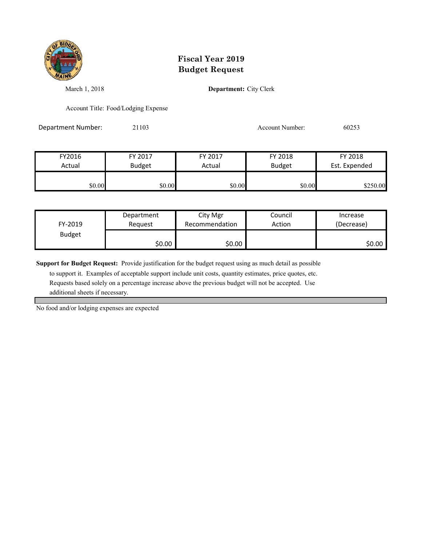

March 1, 2018 **Department:** City Clerk

Account Title: Food/Lodging Expense

Department Number: 21103 21103 Account Number: 60253

| FY2016 | FY 2017       | FY 2017 | FY 2018       | FY 2018       |
|--------|---------------|---------|---------------|---------------|
| Actual | <b>Budget</b> | Actual  | <b>Budget</b> | Est. Expended |
| \$0.00 | \$0.00        | \$0.00  | \$0.00        | \$250.00      |

| FY-2019       | Department | City Mgr       | Council | Increase   |
|---------------|------------|----------------|---------|------------|
|               | Reauest    | Recommendation | Action  | (Decrease) |
| <b>Budget</b> | \$0.00     | \$0.00         |         | \$0.00     |

**Support for Budget Request:** Provide justification for the budget request using as much detail as possible

 to support it. Examples of acceptable support include unit costs, quantity estimates, price quotes, etc. Requests based solely on a percentage increase above the previous budget will not be accepted. Use additional sheets if necessary.

No food and/or lodging expenses are expected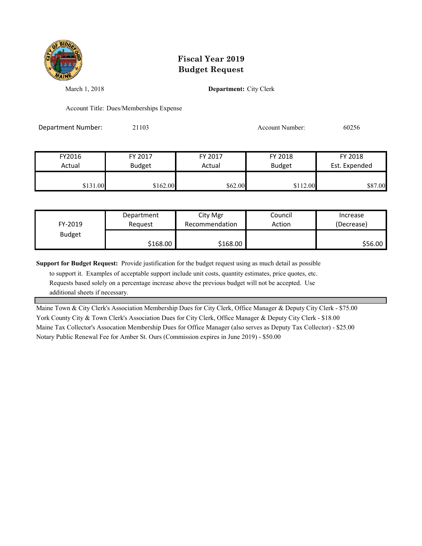

March 1, 2018 **Department:** City Clerk

Account Title: Dues/Memberships Expense

Department Number: 21103 Account Number: 60256

| FY2016   | FY 2017       | FY 2017 | FY 2018       | FY 2018       |
|----------|---------------|---------|---------------|---------------|
| Actual   | <b>Budget</b> | Actual  | <b>Budget</b> | Est. Expended |
|          |               |         |               |               |
| \$131.00 | \$162.00      | \$62.00 | \$112.00      | \$87.00       |

| FY-2019       | Department | City Mgr       | Council | Increase   |
|---------------|------------|----------------|---------|------------|
|               | Reauest    | Recommendation | Action  | (Decrease) |
| <b>Budget</b> | \$168.00   | \$168.00       |         | \$56.00    |

**Support for Budget Request:** Provide justification for the budget request using as much detail as possible

 to support it. Examples of acceptable support include unit costs, quantity estimates, price quotes, etc. Requests based solely on a percentage increase above the previous budget will not be accepted. Use additional sheets if necessary.

Maine Town & City Clerk's Association Membership Dues for City Clerk, Office Manager & Deputy City Clerk - \$75.00 York County City & Town Clerk's Association Dues for City Clerk, Office Manager & Deputy City Clerk - \$18.00 Maine Tax Collector's Assocation Membership Dues for Office Manager (also serves as Deputy Tax Collector) - \$25.00 Notary Public Renewal Fee for Amber St. Ours (Commission expires in June 2019) - \$50.00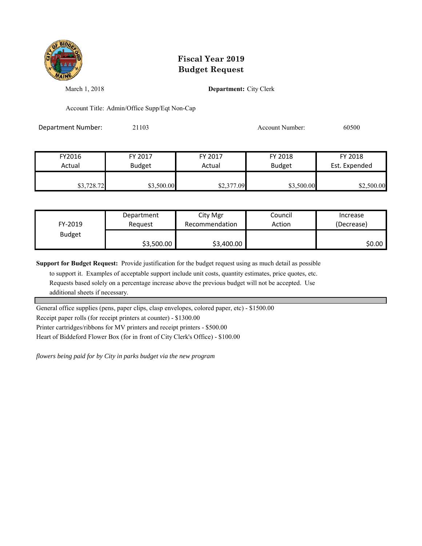

March 1, 2018 **Department:** City Clerk

Account Title: Admin/Office Supp/Eqt Non-Cap

Department Number: 21103 Account Number: 60500

FY2016 FY 2017 FY 2017 FY 2018 FY 2018 Actual Budget **Actual Budget** Actual Budget Est. Expended **\$3,728.72** \$3,500.00 \$3,500.00 \$2,377.09 \$2,500.00 \$2,500.00

| FY-2019       | Department | City Mgr       | Council | Increase   |
|---------------|------------|----------------|---------|------------|
|               | Reguest    | Recommendation | Action  | (Decrease) |
| <b>Budget</b> | \$3,500.00 | \$3,400.00     |         | S0.00 I    |

**Support for Budget Request:** Provide justification for the budget request using as much detail as possible

 to support it. Examples of acceptable support include unit costs, quantity estimates, price quotes, etc. Requests based solely on a percentage increase above the previous budget will not be accepted. Use additional sheets if necessary.

General office supplies (pens, paper clips, clasp envelopes, colored paper, etc) - \$1500.00

Receipt paper rolls (for receipt printers at counter) - \$1300.00

Printer cartridges/ribbons for MV printers and receipt printers - \$500.00

Heart of Biddeford Flower Box (for in front of City Clerk's Office) - \$100.00

*flowers being paid for by City in parks budget via the new program*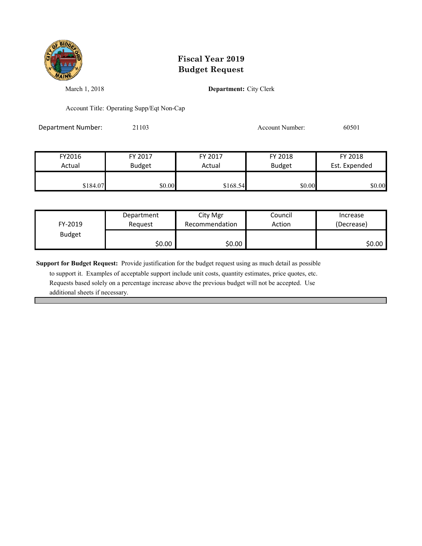

March 1, 2018 **Department:** City Clerk

Account Title: Operating Supp/Eqt Non-Cap

Department Number: 21103 21103 Account Number: 60501

| FY2016   | FY 2017       | FY 2017  | FY 2018       | FY 2018       |
|----------|---------------|----------|---------------|---------------|
| Actual   | <b>Budget</b> | Actual   | <b>Budget</b> | Est. Expended |
| \$184.07 | \$0.00        | \$168.54 | \$0.00        | \$0.00        |

| FY-2019       | Department | City Mgr       | Council | Increase   |
|---------------|------------|----------------|---------|------------|
|               | Reauest    | Recommendation | Action  | (Decrease) |
| <b>Budget</b> | \$0.00     | \$0.00         |         | \$0.00     |

**Support for Budget Request:** Provide justification for the budget request using as much detail as possible

 to support it. Examples of acceptable support include unit costs, quantity estimates, price quotes, etc. Requests based solely on a percentage increase above the previous budget will not be accepted. Use additional sheets if necessary.